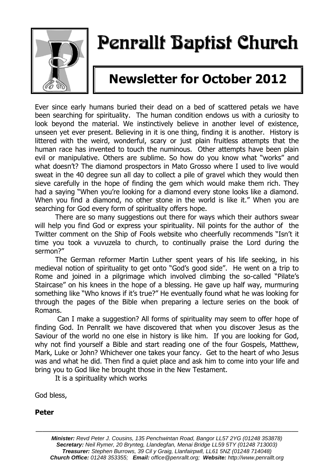

# Penrallt Baptist Church

## **Newsletter for October 2012**

Ever since early humans buried their dead on a bed of scattered petals we have been searching for spirituality. The human condition endows us with a curiosity to look beyond the material. We instinctively believe in another level of existence, unseen yet ever present. Believing in it is one thing, finding it is another. History is littered with the weird, wonderful, scary or just plain fruitless attempts that the human race has invented to touch the numinous. Other attempts have been plain evil or manipulative. Others are sublime. So how do you know what "works" and what doesn't? The diamond prospectors in Mato Grosso where I used to live would sweat in the 40 degree sun all day to collect a pile of gravel which they would then sieve carefully in the hope of finding the gem which would make them rich. They had a saying "When you're looking for a diamond every stone looks like a diamond. When you find a diamond, no other stone in the world is like it." When you are searching for God every form of spirituality offers hope.

There are so many suggestions out there for ways which their authors swear will help you find God or express your spirituality. Nil points for the author of the Twitter comment on the Ship of Fools website who cheerfully recommends "Isn't it time you took a vuvuzela to church, to continually praise the Lord during the sermon?"

The German reformer Martin Luther spent years of his life seeking, in his medieval notion of spirituality to get onto "God's good side". He went on a trip to Rome and joined in a pilgrimage which involved climbing the so-called "Pilate's Staircase" on his knees in the hope of a blessing. He gave up half way, murmuring something like "Who knows if it's true?" He eventually found what he was looking for through the pages of the Bible when preparing a lecture series on the book of Romans.

Can I make a suggestion? All forms of spirituality may seem to offer hope of finding God. In Penrallt we have discovered that when you discover Jesus as the Saviour of the world no one else in history is like him. If you are looking for God, why not find yourself a Bible and start reading one of the four Gospels, Matthew, Mark, Luke or John? Whichever one takes your fancy. Get to the heart of who Jesus was and what he did. Then find a quiet place and ask him to come into your life and bring you to God like he brought those in the New Testament.

It is a spirituality which works

God bless,

**Peter**

———————————————————————————————————————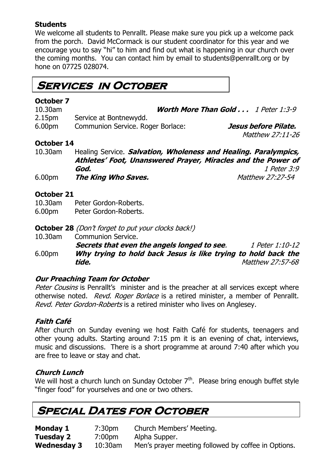#### **Students**

We welcome all students to Penrallt. Please make sure you pick up a welcome pack from the porch. David McCormack is our student coordinator for this year and we encourage you to say "hi" to him and find out what is happening in our church over the coming months. You can contact him by email to students@penrallt.org or by hone on 07725 028074.

### **Services in October**

### **October 7**

10.30am **Worth More Than Gold . . .** 1 Peter 1:3-9 2.15pm Service at Bontnewydd. 6.00pm Communion Service. Roger Borlace: **Jesus before Pilate.** Matthew 27:11-26

#### **October 14**

10.30am Healing Service. **Salvation, Wholeness and Healing. Paralympics, Athletes' Foot, Unanswered Prayer, Miracles and the Power of God.** 1 Peter 3:9 6.00pm **The King Who Saves.** Matthew 27:27-54

#### **October 21**

10.30am Peter Gordon-Roberts.

6.00pm Peter Gordon-Roberts.

**October 28** (Don't forget to put your clocks back!)

10.30am Communion Service.

**Secrets that even the angels longed to see.** 1 Peter 1:10-12 6.00pm **Why trying to hold back Jesus is like trying to hold back the tide.** Matthew 27:57-68

#### **Our Preaching Team for October**

Peter Cousins is Penrallt's minister and is the preacher at all services except where otherwise noted. Revd. Roger Borlace is a retired minister, a member of Penrallt. Revd. Peter Gordon-Roberts is a retired minister who lives on Anglesey.

#### **Faith Café**

After church on Sunday evening we host Faith Café for students, teenagers and other young adults. Starting around 7:15 pm it is an evening of chat, interviews, music and discussions. There is a short programme at around 7:40 after which you are free to leave or stay and chat.

#### **Church Lunch**

We will host a church lunch on Sunday October  $7<sup>th</sup>$ . Please bring enough buffet style "finger food" for yourselves and one or two others.

### **Special Dates for October**

**Monday 1** 7:30pm Church Members' Meeting. **Tuesday 2** 7:00pm Alpha Supper. **Wednesday 3** 10:30am Men's prayer meeting followed by coffee in Options.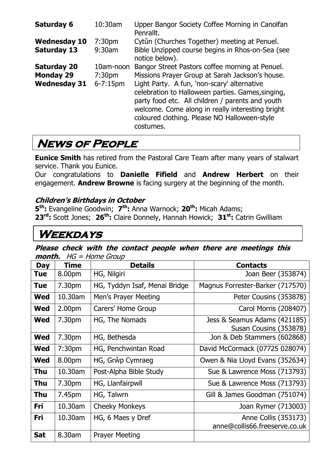| Saturday 6                                | 10:30am                         | Upper Bangor Society Coffee Morning in Canolfan<br>Penrallt.                                                                                                                                                                                                          |
|-------------------------------------------|---------------------------------|-----------------------------------------------------------------------------------------------------------------------------------------------------------------------------------------------------------------------------------------------------------------------|
| <b>Wednesday 10</b><br><b>Saturday 13</b> | 7:30 <sub>pm</sub><br>$9:30$ am | Cytûn (Churches Together) meeting at Penuel.<br>Bible Unzipped course begins in Rhos-on-Sea (see                                                                                                                                                                      |
| <b>Saturday 20</b>                        | 10am-noon                       | notice below).<br>Bangor Street Pastors coffee morning at Penuel.                                                                                                                                                                                                     |
| <b>Monday 29</b>                          | 7:30 <sub>pm</sub>              | Missions Prayer Group at Sarah Jackson's house.                                                                                                                                                                                                                       |
| <b>Wednesday 31</b>                       | $6 - 7:15$ pm                   | Light Party. A fun, 'non-scary' alternative<br>celebration to Halloween parties. Games, singing,<br>party food etc. All children / parents and youth<br>welcome. Come along in really interesting bright<br>coloured clothing. Please NO Halloween-style<br>costumes. |

### **News of People**

**Eunice Smith** has retired from the Pastoral Care Team after many years of stalwart service. Thank you Eunice.

Our congratulations to **Danielle Fifield** and **Andrew Herbert** on their engagement. **Andrew Browne** is facing surgery at the beginning of the month.

#### **Children's Birthdays in October**

**5 th:** Evangeline Goodwin; **7 th:** Anna Warnock; **20th:** Micah Adams; **23rd:** Scott Jones; **26th:** Claire Donnely, Hannah Howick; **31st:** Catrin Gwilliam

### **Weekdays**

**Please check with the contact people when there are meetings this month.** HG = Home Group

| <b>Day</b> | <b>Time</b>        | <b>Details</b>                | <b>Contacts</b>                                        |
|------------|--------------------|-------------------------------|--------------------------------------------------------|
| Tue        | 8.00pm             | HG, Nilgiri                   | Joan Beer (353874)                                     |
| Tue        | 7.30pm             | HG, Tyddyn Isaf, Menai Bridge | Magnus Forrester-Barker (717570)                       |
| <b>Wed</b> | 10.30am            | Men's Prayer Meeting          | Peter Cousins (353878)                                 |
| <b>Wed</b> | 2.00 <sub>pm</sub> | Carers' Home Group            | Carol Morris (208407)                                  |
| <b>Wed</b> | 7.30pm             | HG, The Nomads                | Jess & Seamus Adams (421185)<br>Susan Cousins (353878) |
| <b>Wed</b> | 7.30pm             | HG, Bethesda                  | Jon & Deb Stammers (602868)                            |
| Wed        | 7:30 <sub>pm</sub> | HG, Penchwintan Road          | David McCormack (07725 028074)                         |
| <b>Wed</b> | 8.00pm             | HG, Grŵp Cymraeg              | Owen & Nia Lloyd Evans (352634)                        |
| Thu        | 10.30am            | Post-Alpha Bible Study        | Sue & Lawrence Moss (713793)                           |
| <b>Thu</b> | 7.30pm             | HG, Llanfairpwll              | Sue & Lawrence Moss (713793)                           |
| Thu        | 7.45pm             | HG, Talwrn                    | Gill & James Goodman (751074)                          |
| Fri        | 10.30am            | <b>Cheeky Monkeys</b>         | Joan Rymer (713003)                                    |
| Fri        | 10.30am            | HG, 6 Maes y Dref             | Anne Collis (353173)<br>anne@collis66.freeserve.co.uk  |
| <b>Sat</b> | 8.30am             | <b>Prayer Meeting</b>         |                                                        |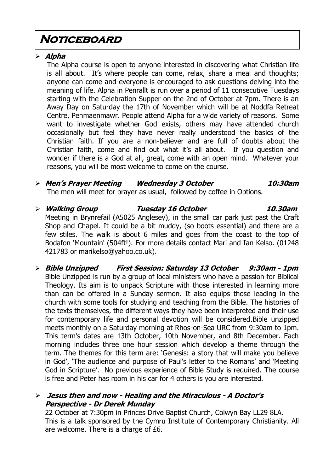### **Noticeboard**

#### **Alpha**

The Alpha course is open to anyone interested in discovering what Christian life is all about. It's where people can come, relax, share a meal and thoughts; anyone can come and everyone is encouraged to ask questions delving into the meaning of life. Alpha in Penrallt is run over a period of 11 consecutive Tuesdays starting with the Celebration Supper on the 2nd of October at 7pm. There is an Away Day on Saturday the 17th of November which will be at Noddfa Retreat Centre, Penmaenmawr. People attend Alpha for a wide variety of reasons. Some want to investigate whether God exists, others may have attended church occasionally but feel they have never really understood the basics of the Christian faith. If you are a non-believer and are full of doubts about the Christian faith, come and find out what it's all about. If you question and wonder if there is a God at all, great, come with an open mind. Whatever your reasons, you will be most welcome to come on the course.

### **Men's Prayer Meeting Wednesday 3 October 10:30am**

The men will meet for prayer as usual, followed by coffee in Options.

#### **Walking Group Tuesday 16 October 10.30am** Meeting in Brynrefail (A5025 Anglesey), in the small car park just past the Craft Shop and Chapel. It could be a bit muddy, (so boots essential) and there are a few stiles. The walk is about 6 miles and goes from the coast to the top of Bodafon 'Mountain' (504ft!). For more details contact Mari and Ian Kelso. (01248 421783 or marikelso@yahoo.co.uk).

 **Bible Unzipped First Session: Saturday 13 October 9:30am - 1pm** Bible Unzipped is run by a group of local ministers who have a passion for Biblical Theology. Its aim is to unpack Scripture with those interested in learning more than can be offered in a Sunday sermon. It also equips those leading in the church with some tools for studying and teaching from the Bible. The histories of the texts themselves, the different ways they have been interpreted and their use for contemporary life and personal devotion will be considered.Bible unzipped meets monthly on a Saturday morning at Rhos-on-Sea URC from 9:30am to 1pm. This term's dates are 13th October, 10th November, and 8th December. Each morning includes three one hour session which develop a theme through the term. The themes for this term are: 'Genesis: a story that will make you believe in God', 'The audience and purpose of Paul's letter to the Romans' and 'Meeting God in Scripture'. No previous experience of Bible Study is required. The course is free and Peter has room in his car for 4 others is you are interested.

#### **Jesus then and now - Healing and the Miraculous - A Doctor's Perspective - Dr Derek Munday**

22 October at 7:30pm in Princes Drive Baptist Church, Colwyn Bay LL29 8LA. This is a talk sponsored by the Cymru Institute of Contemporary Christianity. All are welcome. There is a charge of £6.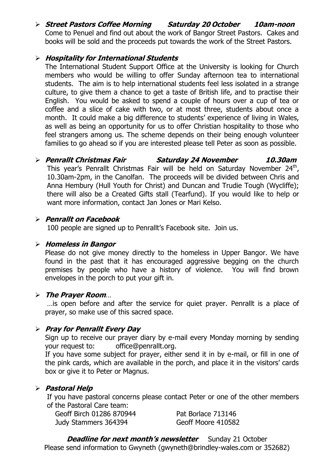**Street Pastors Coffee Morning Saturday 20 October 10am-noon**  Come to Penuel and find out about the work of Bangor Street Pastors. Cakes and books will be sold and the proceeds put towards the work of the Street Pastors.

#### **Hospitality for International Students**

The International Student Support Office at the University is looking for Church members who would be willing to offer Sunday afternoon tea to international students. The aim is to help international students feel less isolated in a strange culture, to give them a chance to get a taste of British life, and to practise their English. You would be asked to spend a couple of hours over a cup of tea or coffee and a slice of cake with two, or at most three, students about once a month. It could make a big difference to students' experience of living in Wales, as well as being an opportunity for us to offer Christian hospitality to those who feel strangers among us. The scheme depends on their being enough volunteer families to go ahead so if you are interested please tell Peter as soon as possible.

#### **Penrallt Christmas Fair Saturday 24 November 10.30am** This year's Penrallt Christmas Fair will be held on Saturday November 24<sup>th</sup>, 10.30am-2pm, in the Canolfan. The proceeds will be divided between Chris and Anna Hembury (Hull Youth for Christ) and Duncan and Trudie Tough (Wycliffe); there will also be a Created Gifts stall (Tearfund). If you would like to help or want more information, contact Jan Jones or Mari Kelso.

#### **Penrallt on Facebook**

100 people are signed up to Penrallt's Facebook site. Join us.

#### **Homeless in Bangor**

Please do not give money directly to the homeless in Upper Bangor. We have found in the past that it has encouraged aggressive begging on the church premises by people who have a history of violence. You will find brown envelopes in the porch to put your gift in.

#### **The Prayer Room**…

…is open before and after the service for quiet prayer. Penrallt is a place of prayer, so make use of this sacred space.

#### **Pray for Penrallt Every Day**

Sign up to receive our prayer diary by e-mail every Monday morning by sending your request to: [office@penrallt.org.](mailto:office@penrallt.org)

If you have some subject for prayer, either send it in by e-mail, or fill in one of the pink cards, which are available in the porch, and place it in the visitors' cards box or give it to Peter or Magnus.

#### **Pastoral Help**

If you have pastoral concerns please contact Peter or one of the other members of the Pastoral Care team:

Geoff Birch 01286 870944 Pat Borlace 713146 Judy Stammers 364394 Geoff Moore 410582

**Deadline for next month's newsletter** Sunday 21 October Please send information to Gwyneth [\(gwyneth@brindley-wales.com](mailto:gwyneth@brindley-wales.com) or 352682)